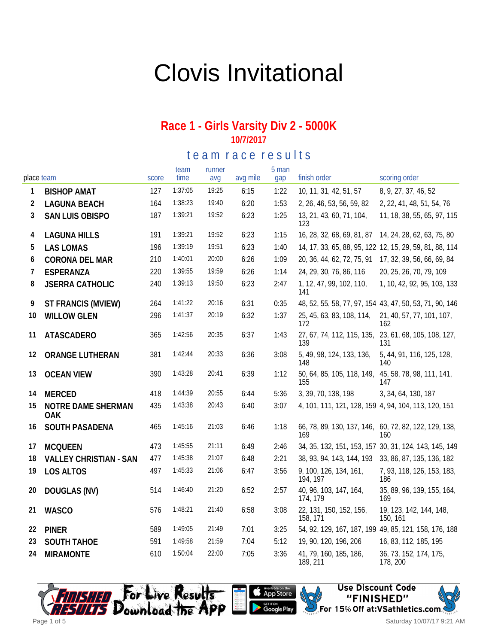# Clovis Invitational

#### **Race 1 - Girls Varsity Div 2 - 5000K 10/7/2017**

te a m r a c e r e sults

| place team |                                  | score | team<br>time | runner<br>avg | avg mile | 5 man<br>gap | finish order                                                 | scoring order                                            |
|------------|----------------------------------|-------|--------------|---------------|----------|--------------|--------------------------------------------------------------|----------------------------------------------------------|
| 1          | <b>BISHOP AMAT</b>               | 127   | 1:37:05      | 19:25         | 6:15     | 1:22         | 10, 11, 31, 42, 51, 57                                       | 8, 9, 27, 37, 46, 52                                     |
| 2          | <b>LAGUNA BEACH</b>              | 164   | 1:38:23      | 19:40         | 6:20     | 1:53         | 2, 26, 46, 53, 56, 59, 82                                    | 2, 22, 41, 48, 51, 54, 76                                |
| 3          | SAN LUIS OBISPO                  | 187   | 1:39:21      | 19:52         | 6:23     | 1:25         | 13, 21, 43, 60, 71, 104,<br>123                              | 11, 18, 38, 55, 65, 97, 115                              |
| 4          | <b>LAGUNA HILLS</b>              | 191   | 1:39:21      | 19:52         | 6:23     | 1:15         | 16, 28, 32, 68, 69, 81, 87                                   | 14, 24, 28, 62, 63, 75, 80                               |
| 5          | <b>LAS LOMAS</b>                 | 196   | 1:39:19      | 19:51         | 6:23     | 1:40         |                                                              | 14, 17, 33, 65, 88, 95, 122 12, 15, 29, 59, 81, 88, 114  |
| 6          | CORONA DEL MAR                   | 210   | 1:40:01      | 20:00         | 6:26     | 1:09         | 20, 36, 44, 62, 72, 75, 91                                   | 17, 32, 39, 56, 66, 69, 84                               |
| 7          | ESPERANZA                        | 220   | 1:39:55      | 19:59         | 6:26     | 1:14         | 24, 29, 30, 76, 86, 116                                      | 20, 25, 26, 70, 79, 109                                  |
| 8          | <b>JSERRA CATHOLIC</b>           | 240   | 1:39:13      | 19:50         | 6:23     | 2:47         | 1, 12, 47, 99, 102, 110,<br>141                              | 1, 10, 42, 92, 95, 103, 133                              |
| 9          | ST FRANCIS (MVIEW)               | 264   | 1:41:22      | 20:16         | 6:31     | 0:35         |                                                              | 48, 52, 55, 58, 77, 97, 154, 43, 47, 50, 53, 71, 90, 146 |
| 10         | <b>WILLOW GLEN</b>               | 296   | 1:41:37      | 20:19         | 6:32     | 1:37         | 25, 45, 63, 83, 108, 114,<br>172                             | 21, 40, 57, 77, 101, 107,<br>162                         |
| 11         | ATASCADERO                       | 365   | 1:42:56      | 20:35         | 6:37     | 1:43         | 27, 67, 74, 112, 115, 135, 23, 61, 68, 105, 108, 127,<br>139 | 131                                                      |
| 12         | ORANGE LUTHERAN                  | 381   | 1:42:44      | 20:33         | 6:36     | 3:08         | 5, 49, 98, 124, 133, 136,<br>148                             | 5, 44, 91, 116, 125, 128,<br>140                         |
| 13         | <b>OCEAN VIEW</b>                | 390   | 1:43:28      | 20:41         | 6:39     | 1:12         | 50, 64, 85, 105, 118, 149, 45, 58, 78, 98, 111, 141,<br>155  | 147                                                      |
| 14         | <b>MERCED</b>                    | 418   | 1:44:39      | 20:55         | 6:44     | 5:36         | 3, 39, 70, 138, 198                                          | 3, 34, 64, 130, 187                                      |
| 15         | NOTRE DAME SHERMAN<br><b>OAK</b> | 435   | 1:43:38      | 20:43         | 6:40     | 3:07         | 4, 101, 111, 121, 128, 159 4, 94, 104, 113, 120, 151         |                                                          |
| 16         | SOUTH PASADENA                   | 465   | 1:45:16      | 21:03         | 6:46     | 1:18         | 66, 78, 89, 130, 137, 146, 60, 72, 82, 122, 129, 138,<br>169 | 160                                                      |
| 17         | <b>MCQUEEN</b>                   | 473   | 1:45:55      | 21:11         | 6:49     | 2:46         |                                                              | 34, 35, 132, 151, 153, 157 30, 31, 124, 143, 145, 149    |
| 18         | <b>VALLEY CHRISTIAN - SAN</b>    | 477   | 1:45:38      | 21:07         | 6:48     | 2:21         | 38, 93, 94, 143, 144, 193                                    | 33, 86, 87, 135, 136, 182                                |
| 19         | LOS ALTOS                        | 497   | 1:45:33      | 21:06         | 6:47     | 3:56         | 9, 100, 126, 134, 161,<br>194, 197                           | 7, 93, 118, 126, 153, 183,<br>186                        |
| 20         | DOUGLAS (NV)                     | 514   | 1:46:40      | 21:20         | 6:52     | 2:57         | 40, 96, 103, 147, 164,<br>174, 179                           | 35, 89, 96, 139, 155, 164,<br>169                        |
| 21         | <b>WASCO</b>                     | 576   | 1:48:21      | 21:40         | 6:58     | 3:08         | 22, 131, 150, 152, 156,<br>158, 171                          | 19, 123, 142, 144, 148,<br>150, 161                      |
| 22         | <b>PINER</b>                     | 589   | 1:49:05      | 21:49         | 7:01     | 3:25         |                                                              | 54, 92, 129, 167, 187, 199 49, 85, 121, 158, 176, 188    |
| 23         | <b>SOUTH TAHOE</b>               | 591   | 1:49:58      | 21:59         | 7:04     | 5:12         | 19, 90, 120, 196, 206                                        | 16, 83, 112, 185, 195                                    |
| 24         | <b>MIRAMONTE</b>                 | 610   | 1:50:04      | 22:00         | 7:05     | 3:36         | 41, 79, 160, 185, 186,<br>189, 211                           | 36, 73, 152, 174, 175,<br>178, 200                       |







Saturday 10/07/17 9:21 AM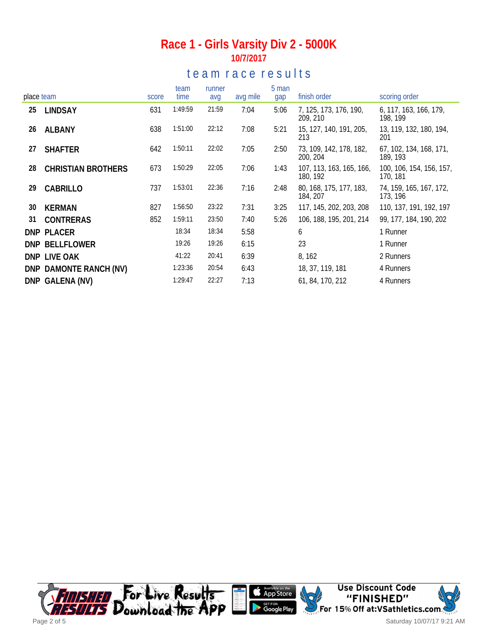### **Race 1 - Girls Varsity Div 2 - 5000K 10/7/2017**

## te a m r a c e r e s ults

|            |                           |       | team    | runner |          | 5 man |                                      |                                      |
|------------|---------------------------|-------|---------|--------|----------|-------|--------------------------------------|--------------------------------------|
| place team |                           | score | time    | avg    | avg mile | gap   | finish order                         | scoring order                        |
| 25         | <b>LINDSAY</b>            | 631   | 1:49:59 | 21:59  | 7:04     | 5:06  | 7, 125, 173, 176, 190,<br>209, 210   | 6, 117, 163, 166, 179,<br>198, 199   |
| 26         | <b>ALBANY</b>             | 638   | 1:51:00 | 22:12  | 7:08     | 5:21  | 15, 127, 140, 191, 205,<br>213       | 13, 119, 132, 180, 194,<br>201       |
| 27         | <b>SHAFTER</b>            | 642   | 1:50:11 | 22:02  | 7:05     | 2:50  | 73, 109, 142, 178, 182,<br>200, 204  | 67, 102, 134, 168, 171,<br>189, 193  |
| 28         | <b>CHRISTIAN BROTHERS</b> | 673   | 1:50:29 | 22:05  | 7:06     | 1:43  | 107, 113, 163, 165, 166,<br>180, 192 | 100, 106, 154, 156, 157,<br>170, 181 |
| 29         | CABRILLO                  | 737   | 1:53:01 | 22:36  | 7:16     | 2:48  | 80, 168, 175, 177, 183,<br>184, 207  | 74, 159, 165, 167, 172,<br>173, 196  |
| 30         | <b>KERMAN</b>             | 827   | 1:56:50 | 23:22  | 7:31     | 3:25  | 117, 145, 202, 203, 208              | 110, 137, 191, 192, 197              |
| 31         | CONTRERAS                 | 852   | 1:59:11 | 23:50  | 7:40     | 5:26  | 106, 188, 195, 201, 214              | 99, 177, 184, 190, 202               |
|            | DNP PLACER                |       | 18:34   | 18:34  | 5:58     |       | 6                                    | 1 Runner                             |
|            | DNP BELLFLOWER            |       | 19:26   | 19:26  | 6:15     |       | 23                                   | 1 Runner                             |
|            | DNP LIVE OAK              |       | 41:22   | 20:41  | 6:39     |       | 8, 162                               | 2 Runners                            |
|            | DNP DAMONTE RANCH (NV)    |       | 1:23:36 | 20:54  | 6:43     |       | 18, 37, 119, 181                     | 4 Runners                            |
|            | DNP GALENA (NV)           |       | 1:29:47 | 22:27  | 7:13     |       | 61, 84, 170, 212                     | 4 Runners                            |

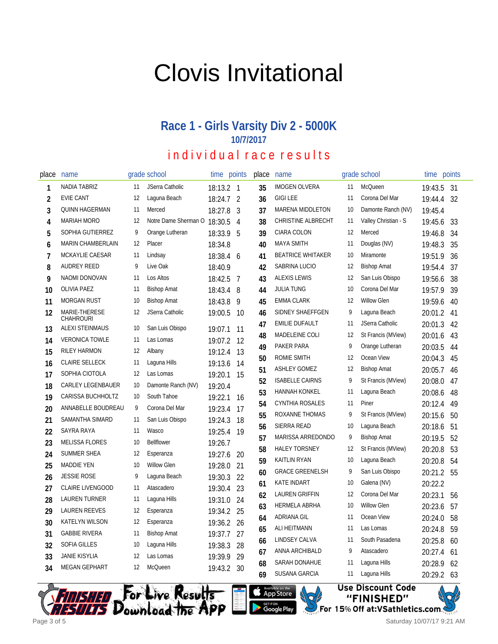# Clovis Invitational

## **Race 1 - Girls Varsity Div 2 - 5000K 10/7/2017**

# individual race results

| place | name                              |     | grade school         | time        | points | place | name                      |    | grade school         | time    | points |
|-------|-----------------------------------|-----|----------------------|-------------|--------|-------|---------------------------|----|----------------------|---------|--------|
| 1     | NADIA TABRIZ                      | 11  | JSerra Catholic      | 18:13.2 1   |        | 35    | <b>IMOGEN OLVERA</b>      | 11 | McQueen              | 19:43.5 | 31     |
| 2     | <b>EVIE CANT</b>                  | 12  | Laguna Beach         | $18:24.7$ 2 |        | 36    | <b>GIGILEE</b>            | 11 | Corona Del Mar       | 19:44.4 | 32     |
| 3     | <b>QUINN HAGERMAN</b>             | 11  | Merced               | 18:27.8     | 3      | 37    | MARENA MIDDLETON          | 10 | Damonte Ranch (NV)   | 19:45.4 |        |
| 4     | MARIAH MORO                       | 12  | Notre Dame Sherman O | 18:30.5     | 4      | 38    | <b>CHRISTINE ALBRECHT</b> | 11 | Valley Christian - S | 19:45.6 | 33     |
| 5     | SOPHIA GUTIERREZ                  | 9   | Orange Lutheran      | 18:33.9     | 5      | 39    | CIARA COLON               | 12 | Merced               | 19:46.8 | 34     |
| 6     | MARIN CHAMBERLAIN                 | 12  | Placer               | 18:34.8     |        | 40    | <b>MAYA SMITH</b>         | 11 | Douglas (NV)         | 19:48.3 | 35     |
| 7     | MCKAYLIE CAESAR                   | 11  | Lindsay              | 18:38.4 6   |        | 41    | <b>BEATRICE WHITAKER</b>  | 10 | Miramonte            | 19:51.9 | 36     |
| 8     | <b>AUDREY REED</b>                | 9   | Live Oak             | 18:40.9     |        | 42    | SABRINA LUCIO             | 12 | <b>Bishop Amat</b>   | 19:54.4 | 37     |
| 9     | NAOMI DONOVAN                     | 11  | Los Altos            | 18:42.5     | 7      | 43    | <b>ALEXIS LEWIS</b>       | 12 | San Luis Obispo      | 19:56.6 | 38     |
| 10    | <b>OLIVIA PAEZ</b>                | 11  | <b>Bishop Amat</b>   | 18:43.4     | 8      | 44    | <b>JULIA TUNG</b>         | 10 | Corona Del Mar       | 19:57.9 | 39     |
| 11    | <b>MORGAN RUST</b>                | 10  | <b>Bishop Amat</b>   | 18:43.8     | 9      | 45    | <b>EMMA CLARK</b>         | 12 | <b>Willow Glen</b>   | 19:59.6 | 40     |
| 12    | MARIE-THERESE<br><b>CHAHROURI</b> | 12  | JSerra Catholic      | 19:00.5     | 10     | 46    | SIDNEY SHAEFFGEN          | 9  | Laguna Beach         | 20:01.2 | 41     |
| 13    | <b>ALEXI STEINMAUS</b>            | 10  | San Luis Obispo      | 19:07.1     | -11    | 47    | <b>EMILIE DUFAULT</b>     | 11 | JSerra Catholic      | 20:01.3 | 42     |
| 14    | <b>VERONICA TOWLE</b>             | -11 | Las Lomas            | 19:07.2     | 12     | 48    | MADELEINE COLI            | 12 | St Francis (MView)   | 20:01.6 | 43     |
| 15    | <b>RILEY HARMON</b>               | 12  | Albany               | 19:12.4     | 13     | 49    | PAKER PARA                | 9  | Orange Lutheran      | 20:03.5 | 44     |
| 16    | <b>CLAIRE SELLECK</b>             | 11  | Laguna Hills         | 19:13.6     | 14     | 50    | ROMIE SMITH               | 12 | Ocean View           | 20:04.3 | 45     |
| 17    | SOPHIA CIOTOLA                    | 12  | Las Lomas            | 19:20.1     | 15     | 51    | <b>ASHLEY GOMEZ</b>       | 12 | <b>Bishop Amat</b>   | 20:05.7 | 46     |
| 18    | <b>CARLEY LEGENBAUER</b>          | 10  | Damonte Ranch (NV)   | 19:20.4     |        | 52    | <b>ISABELLE CAIRNS</b>    | 9  | St Francis (MView)   | 20:08.0 | 47     |
| 19    | CARISSA BUCHHOLTZ                 | 10  | South Tahoe          | 19:22.1     | 16     | 53    | <b>HANNAH KONKEL</b>      | 11 | Laguna Beach         | 20:08.6 | 48     |
| 20    | ANNABELLE BOUDREAU                | 9   | Corona Del Mar       | 19:23.4     | 17     | 54    | CYNTHIA ROSALES           | 11 | Piner                | 20:12.4 | 49     |
| 21    | SAMANTHA SIMARD                   | 11  | San Luis Obispo      | 19:24.3     | 18     | 55    | ROXANNE THOMAS            | 9  | St Francis (MView)   | 20:15.6 | 50     |
| 22    | SAYRA RAYA                        | 11  | Wasco                | 19:25.4     | 19     | 56    | SIERRA READ               | 10 | Laguna Beach         | 20:18.6 | 51     |
| 23    | <b>MELISSA FLORES</b>             | 10  | <b>Bellflower</b>    | 19:26.7     |        | 57    | MARISSA ARREDONDO         | 9  | <b>Bishop Amat</b>   | 20:19.5 | 52     |
| 24    | <b>SUMMER SHEA</b>                | 12  | Esperanza            | 19:27.6     | 20     | 58    | <b>HALEY TORSNEY</b>      | 12 | St Francis (MView)   | 20:20.8 | 53     |
| 25    | <b>MADDIE YEN</b>                 | 10  | <b>Willow Glen</b>   | 19:28.0     | 21     | 59    | <b>KAITLIN RYAN</b>       | 10 | Laguna Beach         | 20:20.8 | 54     |
| 26    | <b>JESSIE ROSE</b>                | 9   | Laguna Beach         | 19:30.3     | 22     | 60    | <b>GRACE GREENELSH</b>    | 9  | San Luis Obispo      | 20:21.2 | 55     |
| 27    | <b>CLAIRE LIVENGOOD</b>           | 11  | Atascadero           | 19:30.4     | 23     | 61    | <b>KATE INDART</b>        | 10 | Galena (NV)          | 20:22.2 |        |
| 28    | <b>LAUREN TURNER</b>              | 11  | Laguna Hills         | 19:31.0 24  |        | 62    | <b>LAUREN GRIFFIN</b>     | 12 | Corona Del Mar       | 20:23.1 | 56     |
| 29    | <b>LAUREN REEVES</b>              | 12  | Esperanza            | 19:34.2 25  |        | 63    | <b>HERMELA ABRHA</b>      | 10 | <b>Willow Glen</b>   | 20:23.6 | 57     |
| 30    | <b>KATELYN WILSON</b>             | 12  | Esperanza            | 19:36.2 26  |        | 64    | ADRIANA GIL               | 11 | Ocean View           | 20:24.0 | 58     |
| 31    | <b>GABBIE RIVERA</b>              | 11  | <b>Bishop Amat</b>   | 19:37.7     | 27     | 65    | ALI HEITMANN              | 11 | Las Lomas            | 20:24.8 | 59     |
| 32    | <b>SOFIA GILLES</b>               | 10  | Laguna Hills         | 19:38.3     | 28     | 66    | LINDSEY CALVA             | 11 | South Pasadena       | 20:25.8 | 60     |
| 33    | <b>JANIE KISYLIA</b>              | 12  | Las Lomas            | 19:39.9     | 29     | 67    | ANNA ARCHIBALD            | 9  | Atascadero           | 20:27.4 | 61     |
| 34    | <b>MEGAN GEPHART</b>              | 12  | McQueen              | 19:43.2     | 30     | 68    | SARAH DONAHUE             | 11 | Laguna Hills         | 20:28.9 | 62     |
|       |                                   |     |                      |             |        | 69    | <b>SUSANA GARCIA</b>      | 11 | Laguna Hills         | 20:29.2 | 63     |







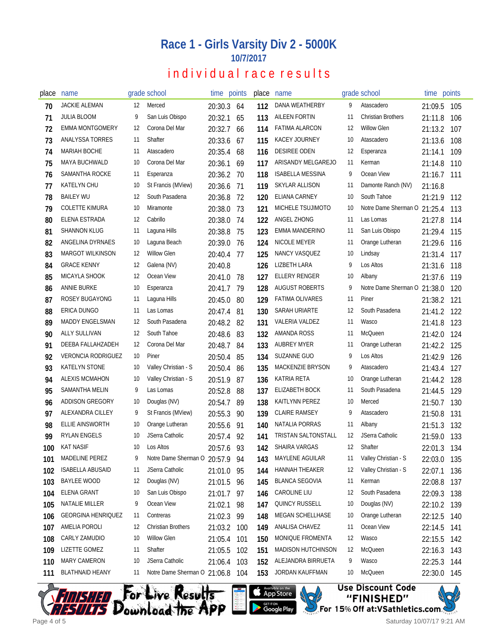### **Race 1 - Girls Varsity Div 2 - 5000K 10/7/2017**

## individual race results

| place | name                      |    | grade school                    | time points |     | place | name                      |    | grade school                 | time points |     |
|-------|---------------------------|----|---------------------------------|-------------|-----|-------|---------------------------|----|------------------------------|-------------|-----|
| 70    | <b>JACKIE ALEMAN</b>      | 12 | Merced                          | 20:30.3     | 64  | 112   | DANA WEATHERBY            | 9  | Atascadero                   | 21:09.5     | 105 |
| 71    | <b>JULIA BLOOM</b>        | 9  | San Luis Obispo                 | 20:32.1     | 65  | 113   | <b>AILEEN FORTIN</b>      | 11 | <b>Christian Brothers</b>    | 21:11.8     | 106 |
| 72    | <b>EMMA MONTGOMERY</b>    | 12 | Corona Del Mar                  | 20:32.7     | 66  | 114   | <b>FATIMA ALARCON</b>     | 12 | <b>Willow Glen</b>           | 21:13.2     | 107 |
| 73    | ANALYSSA TORRES           | 11 | Shafter                         | 20:33.6     | 67  | 115   | KACEY JOURNEY             | 10 | Atascadero                   | 21:13.6     | 108 |
| 74    | <b>MARIAH BOCHE</b>       | 11 | Atascadero                      | 20:35.4     | 68  | 116   | <b>DESIREE ODEN</b>       | 12 | Esperanza                    | 21:14.1     | 109 |
| 75    | <b>MAYA BUCHWALD</b>      | 10 | Corona Del Mar                  | 20:36.1     | 69  | 117   | ARISANDY MELGAREJO        | 11 | Kerman                       | 21:14.8     | 110 |
| 76    | SAMANTHA ROCKE            | 11 | Esperanza                       | 20:36.2     | 70  | 118   | <b>ISABELLA MESSINA</b>   | 9  | Ocean View                   | 21:16.7     | 111 |
| 77    | <b>KATELYN CHU</b>        | 10 | St Francis (MView)              | 20:36.6     | -71 | 119   | <b>SKYLAR ALLISON</b>     | 11 | Damonte Ranch (NV)           | 21:16.8     |     |
| 78    | <b>BAILEY WU</b>          | 12 | South Pasadena                  | 20:36.8     | 72  | 120   | ELIANA CARNEY             | 10 | South Tahoe                  | 21:21.9     | 112 |
| 79    | <b>COLETTE KIMURA</b>     | 10 | Miramonte                       | 20:38.0     | 73  | 121   | MICHELE TSUJIMOTO         | 10 | Notre Dame Sherman O 21:25.4 |             | 113 |
| 80    | ELENA ESTRADA             | 12 | Cabrillo                        | 20:38.0     | 74  | 122   | ANGEL ZHONG               | 11 | Las Lomas                    | 21:27.8     | 114 |
| 81    | SHANNON KLUG              | 11 | Laguna Hills                    | 20:38.8     | 75  | 123   | EMMA MANDERINO            | 11 | San Luis Obispo              | 21:29.4     | 115 |
| 82    | ANGELINA DYRNAES          | 10 | Laguna Beach                    | 20:39.0     | 76  | 124   | NICOLE MEYER              | 11 | Orange Lutheran              | 21:29.6     | 116 |
| 83    | <b>MARGOT WILKINSON</b>   | 12 | <b>Willow Glen</b>              | 20:40.4     | 77  | 125   | NANCY VASQUEZ             | 10 | Lindsay                      | 21:31.4     | 117 |
| 84    | <b>GRACE KENNY</b>        | 12 | Galena (NV)                     | 20:40.8     |     | 126   | <b>LIZBETH LARA</b>       | 9  | Los Altos                    | 21:31.6     | 118 |
| 85    | MICAYLA SHOOK             | 12 | Ocean View                      | 20:41.0     | -78 | 127   | ELLERY RENGER             | 10 | Albany                       | 21:37.6     | 119 |
| 86    | ANNIE BURKE               | 10 | Esperanza                       | 20:41.7     | 79  | 128   | <b>AUGUST ROBERTS</b>     | 9  | Notre Dame Sherman O         | 21:38.0     | 120 |
| 87    | <b>ROSEY BUGAYONG</b>     | 11 | Laguna Hills                    | 20:45.0     | 80  | 129   | <b>FATIMA OLIVARES</b>    | 11 | Piner                        | 21:38.2     | 121 |
| 88    | ERICA DUNGO               | 11 | Las Lomas                       | 20:47.4 81  |     | 130   | SARAH URIARTE             | 12 | South Pasadena               | 21:41.2     | 122 |
| 89    | <b>MADDY ENGELSMAN</b>    | 12 | South Pasadena                  | 20:48.2 82  |     | 131   | <b>VALERIA VALDEZ</b>     | 11 | Wasco                        | 21:41.8     | 123 |
| 90    | <b>ALLY SULLIVAN</b>      | 12 | South Tahoe                     | 20:48.6     | -83 | 132   | AMANDA ROSS               | 11 | <b>McQueen</b>               | 21:42.0     | 124 |
| 91    | DEEBA FALLAHZADEH         | 12 | Corona Del Mar                  | 20:48.7     | -84 | 133   | <b>AUBREY MYER</b>        | 11 | Orange Lutheran              | 21:42.2     | 125 |
| 92    | <b>VERONCIA RODRIGUEZ</b> | 10 | Piner                           | 20:50.4     | 85  | 134   | SUZANNE GUO               | 9  | Los Altos                    | 21:42.9     | 126 |
| 93    | <b>KATELYN STONE</b>      | 10 | Valley Christian - S            | 20:50.4     | 86  | 135   | MACKENZIE BRYSON          | 9  | Atascadero                   | 21:43.4     | 127 |
| 94    | ALEXIS MCMAHON            | 10 | Valley Christian - S            | 20:51.9     | 87  | 136   | KATRIA RETA               | 10 | Orange Lutheran              | 21:44.2     | 128 |
| 95    | SAMANTHA MELIN            | 9  | Las Lomas                       | 20:52.8     | 88  | 137   | <b>ELIZABETH BOCK</b>     | 11 | South Pasadena               | 21:44.5     | 129 |
| 96    | ADDISON GREGORY           | 10 | Douglas (NV)                    | 20:54.7     | 89  | 138   | <b>KAITLYNN PEREZ</b>     | 10 | Merced                       | 21:50.7     | 130 |
| 97    | ALEXANDRA CILLEY          | 9  | St Francis (MView)              | 20:55.3     | 90  | 139   | <b>CLAIRE RAMSEY</b>      | 9  | Atascadero                   | 21:50.8     | 131 |
| 98    | ELLIE AINSWORTH           | 10 | Orange Lutheran                 | 20:55.6     | 91  | 140   | NATALIA PORRAS            | 11 | Albany                       | 21:51.3     | 132 |
| 99    | <b>RYLAN ENGELS</b>       | 10 | JSerra Catholic                 | 20:57.4     | 92  | 141   | TRISTAN SALTONSTALL       | 12 | JSerra Catholic              | 21:59.0     | 133 |
| 100   | <b>KAT NASIF</b>          | 10 | Los Altos                       | 20:57.6     | 93  | 142   | SHAIRA VARGAS             | 12 | Shafter                      | 22:01.3 134 |     |
| 101   | MADELINE PEREZ            | 9  | Notre Dame Sherman O 20:57.9 94 |             |     | 143   | MAYLENE AGUILAR           | 11 | Valley Christian - S         | 22:03.0     | 135 |
| 102   | <b>ISABELLA ABUSAID</b>   | 11 | JSerra Catholic                 | 21:01.0 95  |     | 144   | HANNAH THEAKER            | 12 | Valley Christian - S         | 22:07.1     | 136 |
| 103   | BAYLEE WOOD               | 12 | Douglas (NV)                    | 21:01.5 96  |     | 145   | <b>BLANCA SEGOVIA</b>     | 11 | Kerman                       | 22:08.8     | 137 |
| 104   | <b>ELENA GRANT</b>        | 10 | San Luis Obispo                 | 21:01.7 97  |     | 146   | <b>CAROLINE LIU</b>       | 12 | South Pasadena               | 22:09.3     | 138 |
| 105   | NATALIE MILLER            | 9  | Ocean View                      | 21:02.1     | 98  | 147   | QUINCY RUSSELL            | 10 | Douglas (NV)                 | 22:10.2     | 139 |
| 106   | <b>GEORGINA HENRIQUEZ</b> | 11 | Contreras                       | 21:02.3     | 99  | 148   | MEGAN SCHELLHASE          | 10 | Orange Lutheran              | 22:12.5     | 140 |
| 107   | AMELIA POROLI             | 12 | <b>Christian Brothers</b>       | 21:03.2     | 100 | 149   | ANALISA CHAVEZ            | 11 | Ocean View                   | 22:14.5     | 141 |
| 108   | CARLY ZAMUDIO             | 10 | <b>Willow Glen</b>              | 21:05.4     | 101 | 150   | MONIQUE FROMENTA          | 12 | Wasco                        | 22:15.5     | 142 |
| 109   | LIZETTE GOMEZ             | 11 | Shafter                         | 21:05.5     | 102 | 151   | <b>MADISON HUTCHINSON</b> | 12 | McQueen                      | 22:16.3     | 143 |
| 110   | MARY CAMERON              | 10 | JSerra Catholic                 | 21:06.4     | 103 | 152   | ALEJANDRA BIRRUETA        | 9  | Wasco                        | 22:25.3     | 144 |
| 111   | <b>BLATHNAID HEANY</b>    | 11 | Notre Dame Sherman O 21:06.8    |             | 104 | 153   | JORDAN KAUFFMAN           | 10 | McQueen                      | 22:30.0     | 145 |









Saturday 10/07/17 9:21 AM